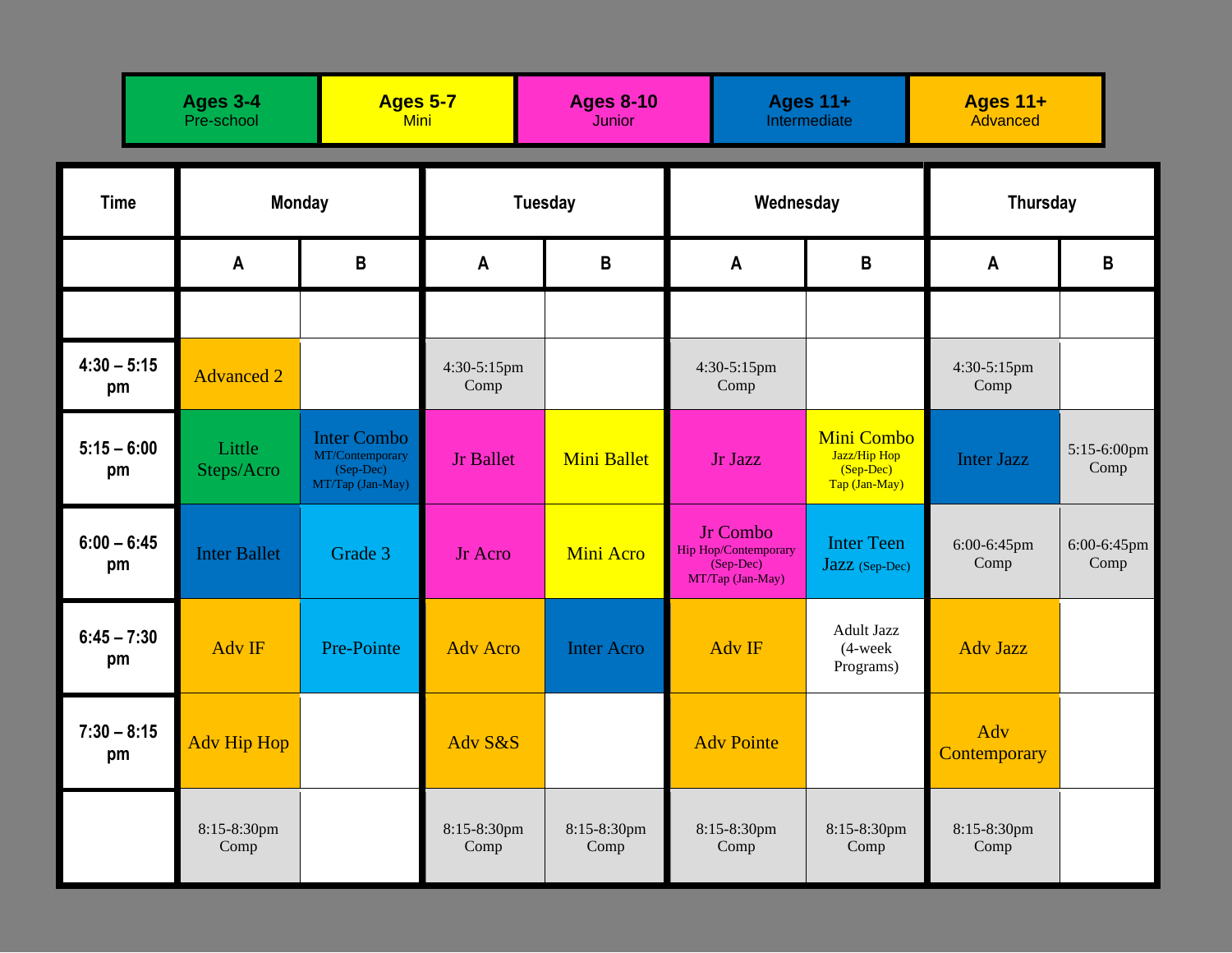|                     | Ages 3-4<br>Pre-school |                                                                          | <b>Ages 5-7</b><br><b>Mini</b> |                     |                                                                     | <b>Ages 11+</b><br>Intermediate                                          |                     |                     |
|---------------------|------------------------|--------------------------------------------------------------------------|--------------------------------|---------------------|---------------------------------------------------------------------|--------------------------------------------------------------------------|---------------------|---------------------|
| <b>Time</b>         | <b>Monday</b>          |                                                                          | <b>Tuesday</b>                 |                     | Wednesday                                                           |                                                                          | <b>Thursday</b>     |                     |
|                     | A                      | B                                                                        | $\mathsf{A}$                   | B                   | A                                                                   | $\, {\bf B}$                                                             | A                   | B                   |
|                     |                        |                                                                          |                                |                     |                                                                     |                                                                          |                     |                     |
| $4:30 - 5:15$<br>pm | <b>Advanced 2</b>      |                                                                          | 4:30-5:15pm<br>Comp            |                     | $4:30-5:15$ pm<br>Comp                                              |                                                                          | 4:30-5:15pm<br>Comp |                     |
| $5:15 - 6:00$<br>pm | Little<br>Steps/Acro   | <b>Inter Combo</b><br>MT/Contemporary<br>$(Sep-Dec)$<br>MT/Tap (Jan-May) | <b>Jr Ballet</b>               | <b>Mini Ballet</b>  | Jr Jazz                                                             | <b>Mini Combo</b><br>Jazz/Hip Hop<br>$(Sep\text{-}Dec)$<br>Tap (Jan-May) | <b>Inter Jazz</b>   | 5:15-6:00pm<br>Comp |
| $6:00 - 6:45$<br>pm | <b>Inter Ballet</b>    | Grade 3                                                                  | Jr Acro                        | <b>Mini Acro</b>    | Jr Combo<br>Hip Hop/Contemporary<br>$(Sep-Dec)$<br>MT/Tap (Jan-May) | <b>Inter Teen</b><br>Jazz (Sep-Dec)                                      | 6:00-6:45pm<br>Comp | 6:00-6:45pm<br>Comp |
| $6:45 - 7:30$<br>pm | Adv IF                 | Pre-Pointe                                                               | <b>Adv Acro</b>                | <b>Inter Acro</b>   | Adv IF                                                              | Adult Jazz<br>$(4$ -week<br>Programs)                                    | <b>Adv Jazz</b>     |                     |
| $7:30 - 8:15$<br>pm | <b>Adv Hip Hop</b>     |                                                                          | Adv S&S                        |                     | <b>Adv Pointe</b>                                                   |                                                                          | Adv<br>Contemporary |                     |
|                     | 8:15-8:30pm<br>Comp    |                                                                          | 8:15-8:30pm<br>Comp            | 8:15-8:30pm<br>Comp | 8:15-8:30pm<br>Comp                                                 | 8:15-8:30pm<br>Comp                                                      | 8:15-8:30pm<br>Comp |                     |